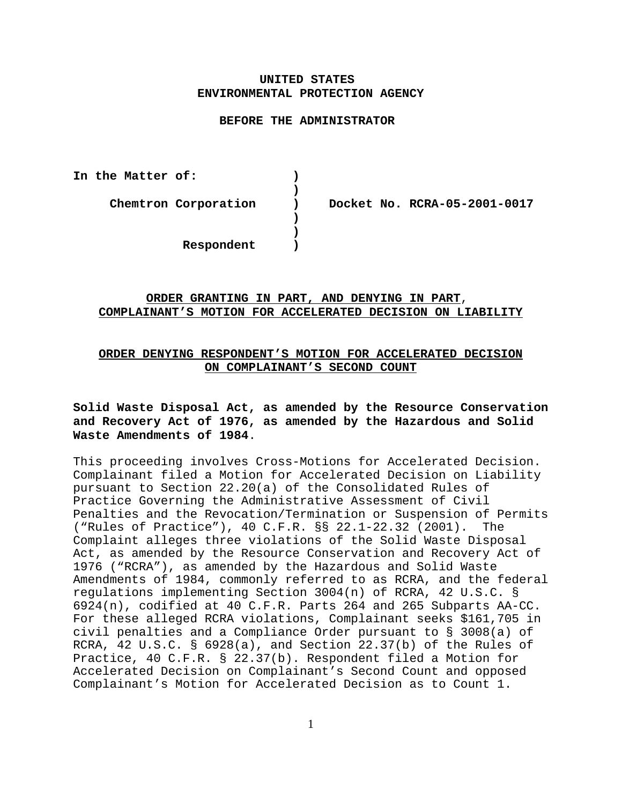# **UNITED STATES ENVIRONMENTAL PROTECTION AGENCY**

#### **BEFORE THE ADMINISTRATOR**

**)**

**) )**

**In the Matter of: )**

**Chemtron Corporation ) Docket No. RCRA-05-2001-0017** 

**Respondent )** 

# **ORDER GRANTING IN PART, AND DENYING IN PART**, **COMPLAINANT'S MOTION FOR ACCELERATED DECISION ON LIABILITY**

# **ORDER DENYING RESPONDENT'S MOTION FOR ACCELERATED DECISION ON COMPLAINANT'S SECOND COUNT**

# **Solid Waste Disposal Act, as amended by the Resource Conservation and Recovery Act of 1976, as amended by the Hazardous and Solid Waste Amendments of 1984**.

This proceeding involves Cross-Motions for Accelerated Decision. Complainant filed a Motion for Accelerated Decision on Liability pursuant to Section 22.20(a) of the Consolidated Rules of Practice Governing the Administrative Assessment of Civil Penalties and the Revocation/Termination or Suspension of Permits ("Rules of Practice"), 40 C.F.R. §§ 22.1-22.32 (2001). The Complaint alleges three violations of the Solid Waste Disposal Act, as amended by the Resource Conservation and Recovery Act of 1976 ("RCRA"), as amended by the Hazardous and Solid Waste Amendments of 1984, commonly referred to as RCRA, and the federal regulations implementing Section 3004(n) of RCRA, 42 U.S.C. § 6924(n), codified at 40 C.F.R. Parts 264 and 265 Subparts AA-CC. For these alleged RCRA violations, Complainant seeks \$161,705 in civil penalties and a Compliance Order pursuant to § 3008(a) of RCRA, 42 U.S.C. § 6928(a), and Section 22.37(b) of the Rules of Practice, 40 C.F.R. § 22.37(b). Respondent filed a Motion for Accelerated Decision on Complainant's Second Count and opposed Complainant's Motion for Accelerated Decision as to Count 1.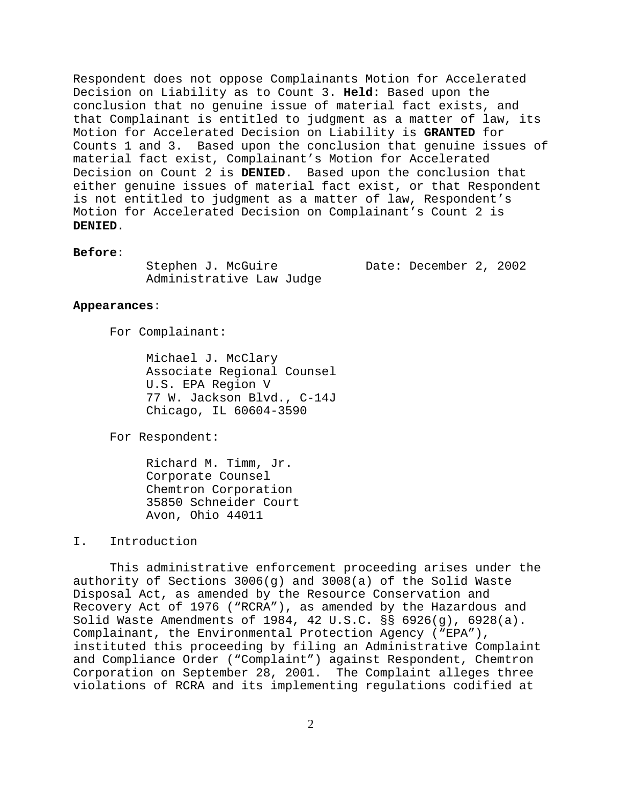Respondent does not oppose Complainants Motion for Accelerated Decision on Liability as to Count 3. **Held**: Based upon the conclusion that no genuine issue of material fact exists, and that Complainant is entitled to judgment as a matter of law, its Motion for Accelerated Decision on Liability is **GRANTED** for Counts 1 and 3. Based upon the conclusion that genuine issues of material fact exist, Complainant's Motion for Accelerated Decision on Count 2 is **DENIED**. Based upon the conclusion that either genuine issues of material fact exist, or that Respondent is not entitled to judgment as a matter of law, Respondent's Motion for Accelerated Decision on Complainant's Count 2 is **DENIED**.

# **Before**:

Stephen J. McGuire Date: December 2, 2002 Administrative Law Judge

## **Appearances**:

For Complainant:

Michael J. McClary Associate Regional Counsel U.S. EPA Region V 77 W. Jackson Blvd., C-14J Chicago, IL 60604-3590

For Respondent:

Richard M. Timm, Jr. Corporate Counsel Chemtron Corporation 35850 Schneider Court Avon, Ohio 44011

# I. Introduction

This administrative enforcement proceeding arises under the authority of Sections 3006(g) and 3008(a) of the Solid Waste Disposal Act, as amended by the Resource Conservation and Recovery Act of 1976 ("RCRA"), as amended by the Hazardous and Solid Waste Amendments of 1984, 42 U.S.C. §§ 6926(g), 6928(a). Complainant, the Environmental Protection Agency ("EPA"), instituted this proceeding by filing an Administrative Complaint and Compliance Order ("Complaint") against Respondent, Chemtron Corporation on September 28, 2001. The Complaint alleges three violations of RCRA and its implementing regulations codified at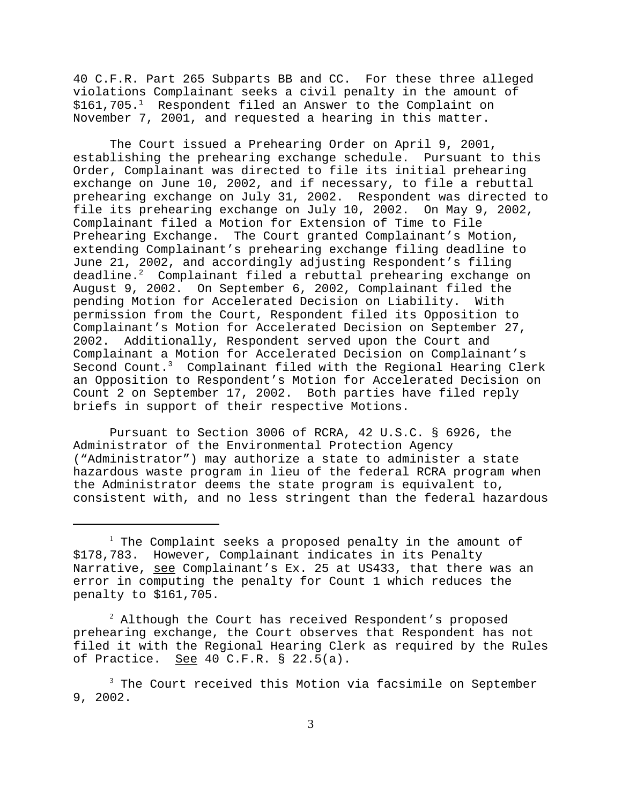40 C.F.R. Part 265 Subparts BB and CC. For these three alleged violations Complainant seeks a civil penalty in the amount of \$161,705.<sup>1</sup> Respondent filed an Answer to the Complaint on November 7, 2001, and requested a hearing in this matter.

The Court issued a Prehearing Order on April 9, 2001, establishing the prehearing exchange schedule. Pursuant to this Order, Complainant was directed to file its initial prehearing exchange on June 10, 2002, and if necessary, to file a rebuttal prehearing exchange on July 31, 2002. Respondent was directed to file its prehearing exchange on July 10, 2002. On May 9, 2002, Complainant filed a Motion for Extension of Time to File Prehearing Exchange. The Court granted Complainant's Motion, extending Complainant's prehearing exchange filing deadline to June 21, 2002, and accordingly adjusting Respondent's filing deadline. $2$  Complainant filed a rebuttal prehearing exchange on August 9, 2002. On September 6, 2002, Complainant filed the pending Motion for Accelerated Decision on Liability. With permission from the Court, Respondent filed its Opposition to Complainant's Motion for Accelerated Decision on September 27, 2002. Additionally, Respondent served upon the Court and Complainant a Motion for Accelerated Decision on Complainant's Second Count.<sup>3</sup> Complainant filed with the Regional Hearing Clerk an Opposition to Respondent's Motion for Accelerated Decision on Count 2 on September 17, 2002. Both parties have filed reply briefs in support of their respective Motions.

Pursuant to Section 3006 of RCRA, 42 U.S.C. § 6926, the Administrator of the Environmental Protection Agency ("Administrator") may authorize a state to administer a state hazardous waste program in lieu of the federal RCRA program when the Administrator deems the state program is equivalent to, consistent with, and no less stringent than the federal hazardous

 $^2$  Although the Court has received Respondent's proposed prehearing exchange, the Court observes that Respondent has not filed it with the Regional Hearing Clerk as required by the Rules of Practice. See 40 C.F.R. § 22.5(a).

<sup>&</sup>lt;sup>1</sup> The Complaint seeks a proposed penalty in the amount of \$178,783. However, Complainant indicates in its Penalty Narrative, see Complainant's Ex. 25 at US433, that there was an error in computing the penalty for Count 1 which reduces the penalty to \$161,705.

 $^3$  The Court received this Motion via facsimile on September 9, 2002.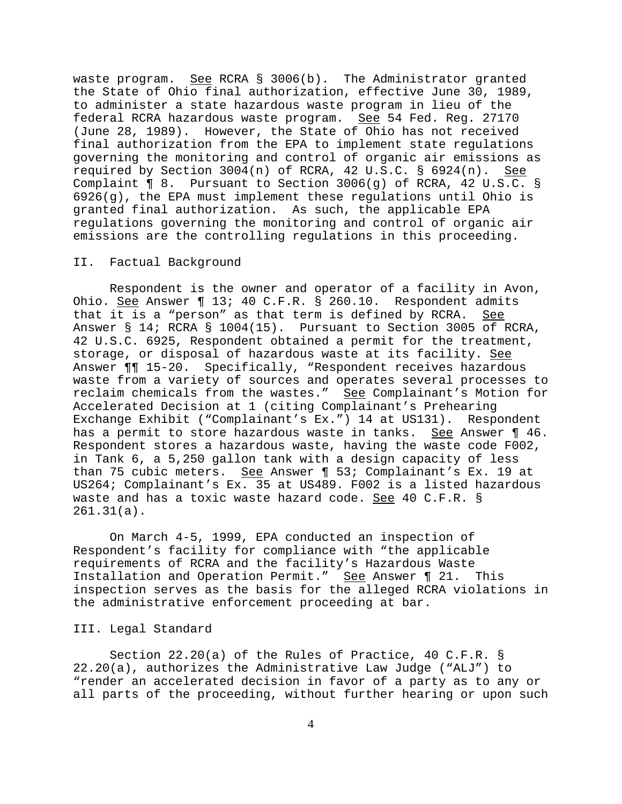waste program. See RCRA § 3006(b). The Administrator granted the State of Ohio final authorization, effective June 30, 1989, to administer a state hazardous waste program in lieu of the federal RCRA hazardous waste program. See 54 Fed. Reg. 27170 (June 28, 1989). However, the State of Ohio has not received final authorization from the EPA to implement state regulations governing the monitoring and control of organic air emissions as required by Section 3004(n) of RCRA, 42 U.S.C. § 6924(n). See Complaint ¶ 8. Pursuant to Section 3006(g) of RCRA, 42 U.S.C. §  $6926(q)$ , the EPA must implement these regulations until Ohio is granted final authorization. As such, the applicable EPA regulations governing the monitoring and control of organic air emissions are the controlling regulations in this proceeding.

## II. Factual Background

Respondent is the owner and operator of a facility in Avon, Ohio. See Answer 13; 40 C.F.R. § 260.10. Respondent admits that it is a "person" as that term is defined by RCRA. See Answer § 14; RCRA § 1004(15). Pursuant to Section 3005 of RCRA, 42 U.S.C. 6925, Respondent obtained a permit for the treatment, storage, or disposal of hazardous waste at its facility. See Answer ¶¶ 15-20. Specifically, "Respondent receives hazardous waste from a variety of sources and operates several processes to reclaim chemicals from the wastes." See Complainant's Motion for Accelerated Decision at 1 (citing Complainant's Prehearing Exchange Exhibit ("Complainant's Ex.") 14 at US131). Respondent has a permit to store hazardous waste in tanks. See Answer ¶ 46. Respondent stores a hazardous waste, having the waste code F002, in Tank 6, a 5,250 gallon tank with a design capacity of less than 75 cubic meters. See Answer 1 53; Complainant's Ex. 19 at US264; Complainant's Ex. 35 at US489. F002 is a listed hazardous waste and has a toxic waste hazard code. See 40 C.F.R. § 261.31(a).

On March 4-5, 1999, EPA conducted an inspection of Respondent's facility for compliance with "the applicable requirements of RCRA and the facility's Hazardous Waste Installation and Operation Permit." See Answer ¶ 21. This inspection serves as the basis for the alleged RCRA violations in the administrative enforcement proceeding at bar.

## III. Legal Standard

Section 22.20(a) of the Rules of Practice, 40 C.F.R. § 22.20(a), authorizes the Administrative Law Judge ("ALJ") to "render an accelerated decision in favor of a party as to any or all parts of the proceeding, without further hearing or upon such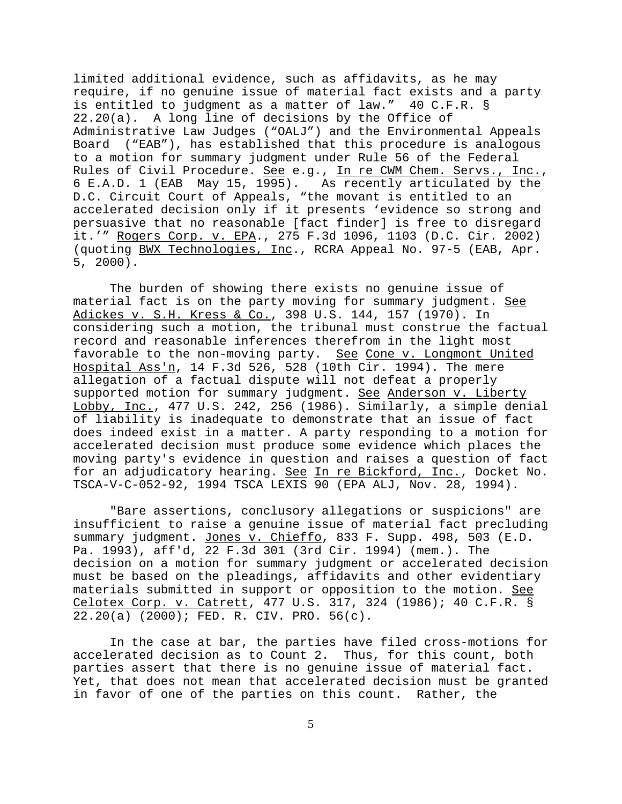limited additional evidence, such as affidavits, as he may require, if no genuine issue of material fact exists and a party is entitled to judgment as a matter of law." 40 C.F.R. § 22.20(a). A long line of decisions by the Office of Administrative Law Judges ("OALJ") and the Environmental Appeals Board ("EAB"), has established that this procedure is analogous to a motion for summary judgment under Rule 56 of the Federal Rules of Civil Procedure. See e.g., In re CWM Chem. Servs., Inc., 6 E.A.D. 1 (EAB May 15, 1995). As recently articulated by the D.C. Circuit Court of Appeals, "the movant is entitled to an accelerated decision only if it presents 'evidence so strong and persuasive that no reasonable [fact finder] is free to disregard it.'" Rogers Corp. v. EPA., 275 F.3d 1096, 1103 (D.C. Cir. 2002) (quoting BWX Technologies, Inc., RCRA Appeal No. 97-5 (EAB, Apr. 5, 2000).

The burden of showing there exists no genuine issue of material fact is on the party moving for summary judgment. See Adickes v. S.H. Kress & Co., 398 U.S. 144, 157 (1970). In considering such a motion, the tribunal must construe the factual record and reasonable inferences therefrom in the light most favorable to the non-moving party. See Cone v. Longmont United Hospital Ass'n, 14 F.3d 526, 528 (10th Cir. 1994). The mere allegation of a factual dispute will not defeat a properly supported motion for summary judgment. See Anderson v. Liberty Lobby, Inc., 477 U.S. 242, 256 (1986). Similarly, a simple denial of liability is inadequate to demonstrate that an issue of fact does indeed exist in a matter. A party responding to a motion for accelerated decision must produce some evidence which places the moving party's evidence in question and raises a question of fact for an adjudicatory hearing. See In re Bickford, Inc., Docket No. TSCA-V-C-052-92, 1994 TSCA LEXIS 90 (EPA ALJ, Nov. 28, 1994).

"Bare assertions, conclusory allegations or suspicions" are insufficient to raise a genuine issue of material fact precluding summary judgment. Jones v. Chieffo, 833 F. Supp. 498, 503 (E.D. Pa. 1993), aff'd, 22 F.3d 301 (3rd Cir. 1994) (mem.). The decision on a motion for summary judgment or accelerated decision must be based on the pleadings, affidavits and other evidentiary materials submitted in support or opposition to the motion. See Celotex Corp. v. Catrett, 477 U.S. 317, 324 (1986); 40 C.F.R. § 22.20(a) (2000); FED. R. CIV. PRO. 56(c).

In the case at bar, the parties have filed cross-motions for accelerated decision as to Count 2. Thus, for this count, both parties assert that there is no genuine issue of material fact. Yet, that does not mean that accelerated decision must be granted in favor of one of the parties on this count. Rather, the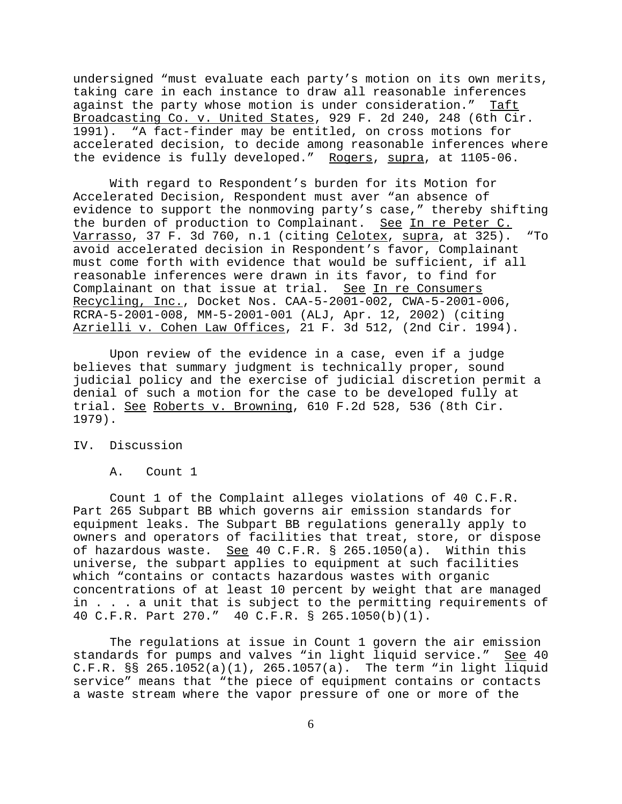undersigned "must evaluate each party's motion on its own merits, taking care in each instance to draw all reasonable inferences against the party whose motion is under consideration." Taft Broadcasting Co. v. United States, 929 F. 2d 240, 248 (6th Cir. 1991). "A fact-finder may be entitled, on cross motions for accelerated decision, to decide among reasonable inferences where the evidence is fully developed." Rogers, supra, at 1105-06.

With regard to Respondent's burden for its Motion for Accelerated Decision, Respondent must aver "an absence of evidence to support the nonmoving party's case," thereby shifting the burden of production to Complainant. See In re Peter C. Varrasso, 37 F. 3d 760, n.1 (citing Celotex, supra, at 325). "To avoid accelerated decision in Respondent's favor, Complainant must come forth with evidence that would be sufficient, if all reasonable inferences were drawn in its favor, to find for Complainant on that issue at trial. See In re Consumers Recycling, Inc., Docket Nos. CAA-5-2001-002, CWA-5-2001-006, RCRA-5-2001-008, MM-5-2001-001 (ALJ, Apr. 12, 2002) (citing Azrielli v. Cohen Law Offices, 21 F. 3d 512, (2nd Cir. 1994).

Upon review of the evidence in a case, even if a judge believes that summary judgment is technically proper, sound judicial policy and the exercise of judicial discretion permit a denial of such a motion for the case to be developed fully at trial. See Roberts v. Browning, 610 F.2d 528, 536 (8th Cir. 1979).

IV. Discussion

A. Count 1

Count 1 of the Complaint alleges violations of 40 C.F.R. Part 265 Subpart BB which governs air emission standards for equipment leaks. The Subpart BB regulations generally apply to owners and operators of facilities that treat, store, or dispose of hazardous waste. See 40 C.F.R. § 265.1050(a). Within this universe, the subpart applies to equipment at such facilities which "contains or contacts hazardous wastes with organic concentrations of at least 10 percent by weight that are managed in . . . a unit that is subject to the permitting requirements of 40 C.F.R. Part 270." 40 C.F.R. § 265.1050(b)(1).

The regulations at issue in Count 1 govern the air emission standards for pumps and valves "in light liquid service." See 40 C.F.R. §§ 265.1052(a)(1), 265.1057(a). The term "in light liquid service" means that "the piece of equipment contains or contacts a waste stream where the vapor pressure of one or more of the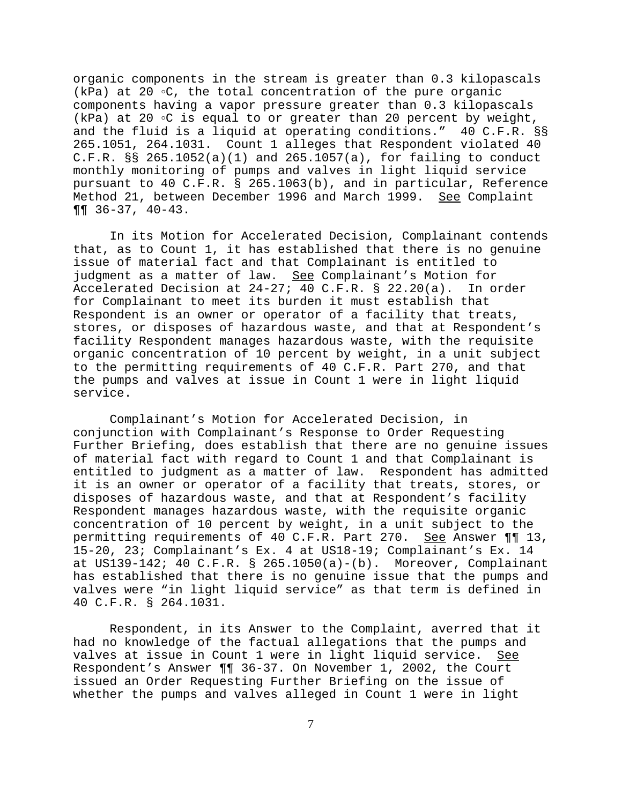organic components in the stream is greater than 0.3 kilopascals (kPa) at 20  $\circ$ C, the total concentration of the pure organic components having a vapor pressure greater than 0.3 kilopascals (kPa) at 20  $\circ$ C is equal to or greater than 20 percent by weight, and the fluid is a liquid at operating conditions." 40 C.F.R. §§ 265.1051, 264.1031. Count 1 alleges that Respondent violated 40 C.F.R.  $\S$ § 265.1052(a)(1) and 265.1057(a), for failing to conduct monthly monitoring of pumps and valves in light liquid service pursuant to 40 C.F.R. § 265.1063(b), and in particular, Reference Method 21, between December 1996 and March 1999. See Complaint ¶¶ 36-37, 40-43.

In its Motion for Accelerated Decision, Complainant contends that, as to Count 1, it has established that there is no genuine issue of material fact and that Complainant is entitled to judgment as a matter of law. See Complainant's Motion for Accelerated Decision at 24-27; 40 C.F.R. § 22.20(a). In order for Complainant to meet its burden it must establish that Respondent is an owner or operator of a facility that treats, stores, or disposes of hazardous waste, and that at Respondent's facility Respondent manages hazardous waste, with the requisite organic concentration of 10 percent by weight, in a unit subject to the permitting requirements of 40 C.F.R. Part 270, and that the pumps and valves at issue in Count 1 were in light liquid service.

Complainant's Motion for Accelerated Decision, in conjunction with Complainant's Response to Order Requesting Further Briefing, does establish that there are no genuine issues of material fact with regard to Count 1 and that Complainant is entitled to judgment as a matter of law. Respondent has admitted it is an owner or operator of a facility that treats, stores, or disposes of hazardous waste, and that at Respondent's facility Respondent manages hazardous waste, with the requisite organic concentration of 10 percent by weight, in a unit subject to the permitting requirements of 40 C.F.R. Part 270. See Answer ¶¶ 13, 15-20, 23; Complainant's Ex. 4 at US18-19; Complainant's Ex. 14 at US139-142; 40 C.F.R. § 265.1050(a)-(b). Moreover, Complainant has established that there is no genuine issue that the pumps and valves were "in light liquid service" as that term is defined in 40 C.F.R. § 264.1031.

Respondent, in its Answer to the Complaint, averred that it had no knowledge of the factual allegations that the pumps and valves at issue in Count 1 were in light liquid service. See Respondent's Answer ¶¶ 36-37. On November 1, 2002, the Court issued an Order Requesting Further Briefing on the issue of whether the pumps and valves alleged in Count 1 were in light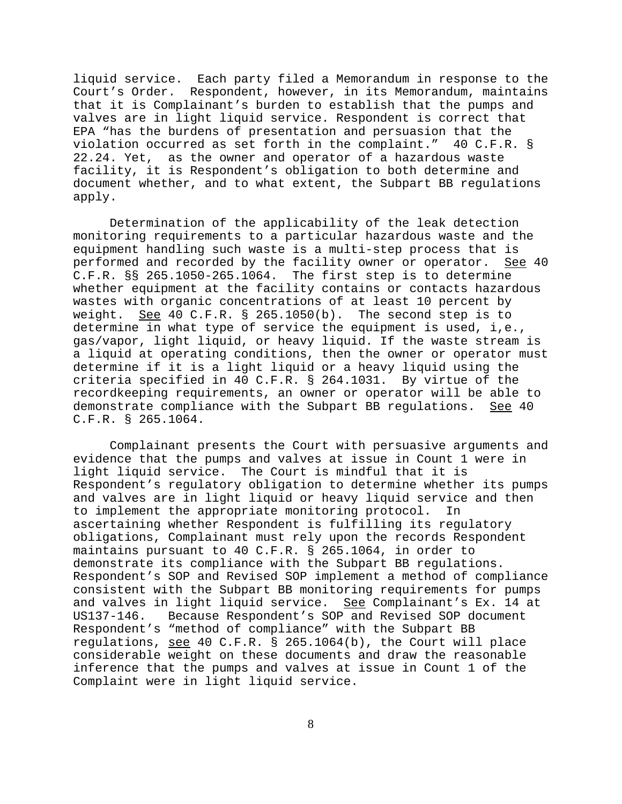liquid service. Each party filed a Memorandum in response to the Court's Order. Respondent, however, in its Memorandum, maintains that it is Complainant's burden to establish that the pumps and valves are in light liquid service. Respondent is correct that EPA "has the burdens of presentation and persuasion that the violation occurred as set forth in the complaint." 40 C.F.R. § 22.24. Yet, as the owner and operator of a hazardous waste facility, it is Respondent's obligation to both determine and document whether, and to what extent, the Subpart BB regulations apply.

Determination of the applicability of the leak detection monitoring requirements to a particular hazardous waste and the equipment handling such waste is a multi-step process that is performed and recorded by the facility owner or operator. See 40 C.F.R. §§ 265.1050-265.1064. The first step is to determine whether equipment at the facility contains or contacts hazardous wastes with organic concentrations of at least 10 percent by weight. See 40 C.F.R.  $\S$  265.1050(b). The second step is to determine in what type of service the equipment is used, i,e., gas/vapor, light liquid, or heavy liquid. If the waste stream is a liquid at operating conditions, then the owner or operator must determine if it is a light liquid or a heavy liquid using the criteria specified in 40 C.F.R. § 264.1031. By virtue of the recordkeeping requirements, an owner or operator will be able to demonstrate compliance with the Subpart BB regulations. See 40 C.F.R. § 265.1064.

Complainant presents the Court with persuasive arguments and evidence that the pumps and valves at issue in Count 1 were in light liquid service. The Court is mindful that it is Respondent's regulatory obligation to determine whether its pumps and valves are in light liquid or heavy liquid service and then to implement the appropriate monitoring protocol. In ascertaining whether Respondent is fulfilling its regulatory obligations, Complainant must rely upon the records Respondent maintains pursuant to 40 C.F.R. § 265.1064, in order to demonstrate its compliance with the Subpart BB regulations. Respondent's SOP and Revised SOP implement a method of compliance consistent with the Subpart BB monitoring requirements for pumps and valves in light liquid service. See Complainant's Ex. 14 at US137-146. Because Respondent's SOP and Revised SOP document Respondent's "method of compliance" with the Subpart BB regulations, see 40 C.F.R. § 265.1064(b), the Court will place considerable weight on these documents and draw the reasonable inference that the pumps and valves at issue in Count 1 of the Complaint were in light liquid service.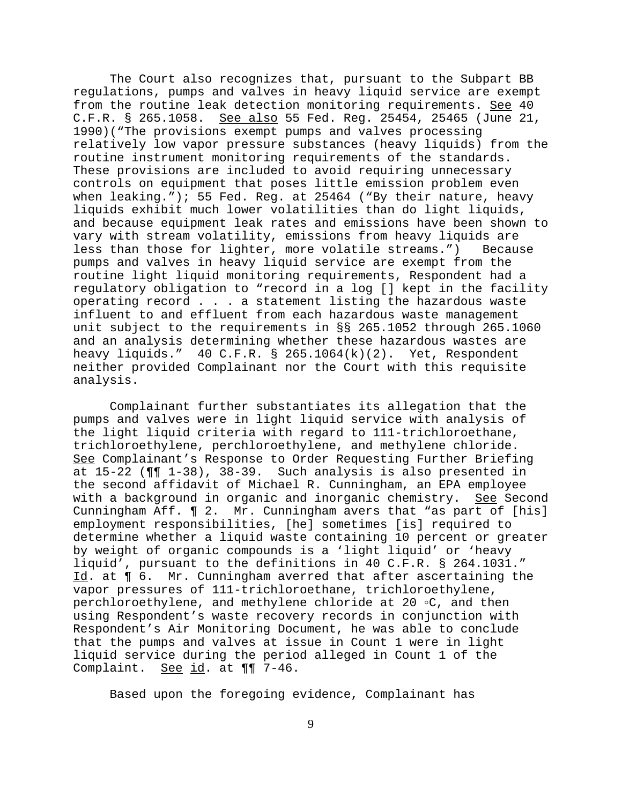The Court also recognizes that, pursuant to the Subpart BB regulations, pumps and valves in heavy liquid service are exempt from the routine leak detection monitoring requirements. See 40 C.F.R. § 265.1058. See also 55 Fed. Reg. 25454, 25465 (June 21, 1990)("The provisions exempt pumps and valves processing relatively low vapor pressure substances (heavy liquids) from the routine instrument monitoring requirements of the standards. These provisions are included to avoid requiring unnecessary controls on equipment that poses little emission problem even when leaking."); 55 Fed. Reg. at 25464 ("By their nature, heavy liquids exhibit much lower volatilities than do light liquids, and because equipment leak rates and emissions have been shown to vary with stream volatility, emissions from heavy liquids are less than those for lighter, more volatile streams.") Because pumps and valves in heavy liquid service are exempt from the routine light liquid monitoring requirements, Respondent had a regulatory obligation to "record in a log [] kept in the facility operating record . . . a statement listing the hazardous waste influent to and effluent from each hazardous waste management unit subject to the requirements in §§ 265.1052 through 265.1060 and an analysis determining whether these hazardous wastes are heavy liquids."  $40 \text{ C.F.R. }$  \$ 265.1064(k)(2). Yet, Respondent neither provided Complainant nor the Court with this requisite analysis.

Complainant further substantiates its allegation that the pumps and valves were in light liquid service with analysis of the light liquid criteria with regard to 111-trichloroethane, trichloroethylene, perchloroethylene, and methylene chloride. See Complainant's Response to Order Requesting Further Briefing at 15-22 (¶¶ 1-38), 38-39. Such analysis is also presented in the second affidavit of Michael R. Cunningham, an EPA employee with a background in organic and inorganic chemistry. See Second Cunningham Aff. ¶ 2. Mr. Cunningham avers that "as part of [his] employment responsibilities, [he] sometimes [is] required to determine whether a liquid waste containing 10 percent or greater by weight of organic compounds is a 'light liquid' or 'heavy liquid', pursuant to the definitions in 40 C.F.R. § 264.1031." Id. at ¶ 6. Mr. Cunningham averred that after ascertaining the vapor pressures of 111-trichloroethane, trichloroethylene, perchloroethylene, and methylene chloride at 20 °C, and then using Respondent's waste recovery records in conjunction with Respondent's Air Monitoring Document, he was able to conclude that the pumps and valves at issue in Count 1 were in light liquid service during the period alleged in Count 1 of the Complaint. See id. at  $\P\P$  7-46.

Based upon the foregoing evidence, Complainant has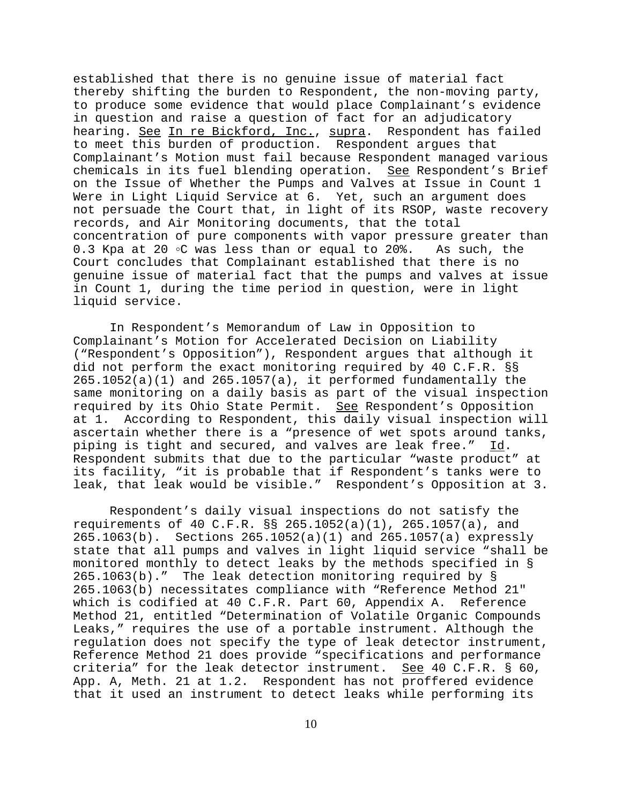established that there is no genuine issue of material fact thereby shifting the burden to Respondent, the non-moving party, to produce some evidence that would place Complainant's evidence in question and raise a question of fact for an adjudicatory hearing. See In re Bickford, Inc., supra. Respondent has failed to meet this burden of production. Respondent argues that Complainant's Motion must fail because Respondent managed various chemicals in its fuel blending operation. See Respondent's Brief on the Issue of Whether the Pumps and Valves at Issue in Count 1 Were in Light Liquid Service at 6. Yet, such an argument does not persuade the Court that, in light of its RSOP, waste recovery records, and Air Monitoring documents, that the total concentration of pure components with vapor pressure greater than 0.3 Kpa at 20  $\circ$ C was less than or equal to 20%. As such, the Court concludes that Complainant established that there is no genuine issue of material fact that the pumps and valves at issue in Count 1, during the time period in question, were in light liquid service.

In Respondent's Memorandum of Law in Opposition to Complainant's Motion for Accelerated Decision on Liability ("Respondent's Opposition"), Respondent argues that although it did not perform the exact monitoring required by 40 C.F.R. §§  $265.1052(a)(1)$  and  $265.1057(a)$ , it performed fundamentally the same monitoring on a daily basis as part of the visual inspection required by its Ohio State Permit. See Respondent's Opposition at 1. According to Respondent, this daily visual inspection will ascertain whether there is a "presence of wet spots around tanks, piping is tight and secured, and valves are leak free." Id. Respondent submits that due to the particular "waste product" at its facility, "it is probable that if Respondent's tanks were to leak, that leak would be visible." Respondent's Opposition at 3.

Respondent's daily visual inspections do not satisfy the requirements of 40 C.F.R. §§ 265.1052(a)(1), 265.1057(a), and 265.1063(b). Sections 265.1052(a)(1) and 265.1057(a) expressly state that all pumps and valves in light liquid service "shall be monitored monthly to detect leaks by the methods specified in § 265.1063(b)." The leak detection monitoring required by § 265.1063(b) necessitates compliance with "Reference Method 21" which is codified at 40 C.F.R. Part 60, Appendix A. Reference Method 21, entitled "Determination of Volatile Organic Compounds Leaks," requires the use of a portable instrument. Although the regulation does not specify the type of leak detector instrument, Reference Method 21 does provide "specifications and performance criteria" for the leak detector instrument. See 40 C.F.R.  $\S$  60, App. A, Meth. 21 at 1.2. Respondent has not proffered evidence that it used an instrument to detect leaks while performing its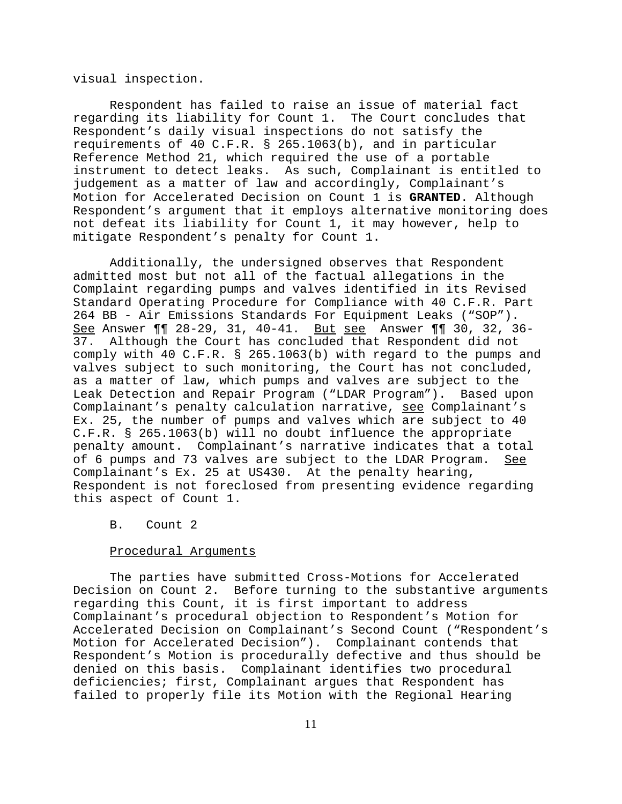visual inspection.

Respondent has failed to raise an issue of material fact regarding its liability for Count 1. The Court concludes that Respondent's daily visual inspections do not satisfy the requirements of 40 C.F.R. § 265.1063(b), and in particular Reference Method 21, which required the use of a portable instrument to detect leaks. As such, Complainant is entitled to judgement as a matter of law and accordingly, Complainant's Motion for Accelerated Decision on Count 1 is **GRANTED**. Although Respondent's argument that it employs alternative monitoring does not defeat its liability for Count 1, it may however, help to mitigate Respondent's penalty for Count 1.

Additionally, the undersigned observes that Respondent admitted most but not all of the factual allegations in the Complaint regarding pumps and valves identified in its Revised Standard Operating Procedure for Compliance with 40 C.F.R. Part 264 BB - Air Emissions Standards For Equipment Leaks ("SOP"). See Answer ¶¶ 28-29, 31, 40-41. But see Answer ¶¶ 30, 32, 36- 37. Although the Court has concluded that Respondent did not comply with 40 C.F.R. § 265.1063(b) with regard to the pumps and valves subject to such monitoring, the Court has not concluded, as a matter of law, which pumps and valves are subject to the Leak Detection and Repair Program ("LDAR Program"). Based upon Complainant's penalty calculation narrative, see Complainant's Ex. 25, the number of pumps and valves which are subject to 40 C.F.R. § 265.1063(b) will no doubt influence the appropriate penalty amount. Complainant's narrative indicates that a total of 6 pumps and 73 valves are subject to the LDAR Program. See Complainant's Ex. 25 at US430. At the penalty hearing, Respondent is not foreclosed from presenting evidence regarding this aspect of Count 1.

# B. Count 2

### Procedural Arguments

The parties have submitted Cross-Motions for Accelerated Decision on Count 2. Before turning to the substantive arguments regarding this Count, it is first important to address Complainant's procedural objection to Respondent's Motion for Accelerated Decision on Complainant's Second Count ("Respondent's Motion for Accelerated Decision"). Complainant contends that Respondent's Motion is procedurally defective and thus should be denied on this basis. Complainant identifies two procedural deficiencies; first, Complainant argues that Respondent has failed to properly file its Motion with the Regional Hearing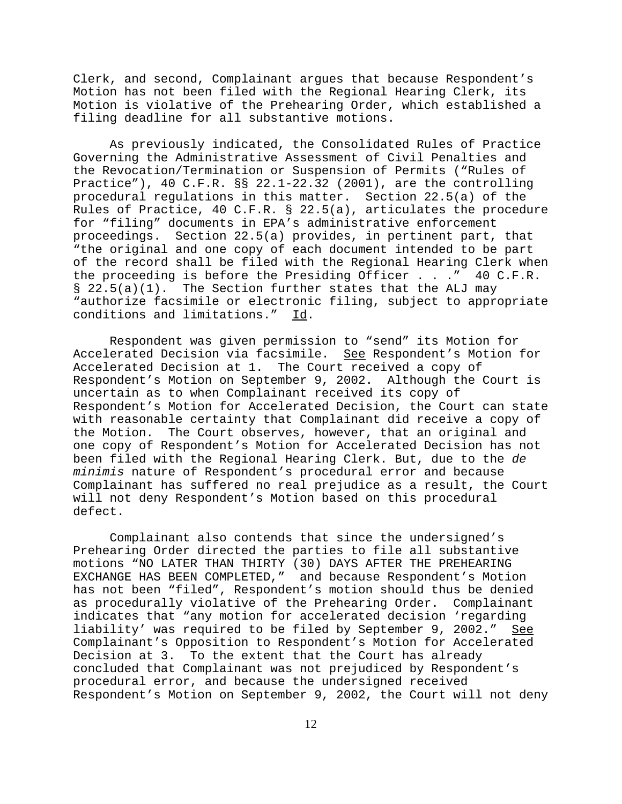Clerk, and second, Complainant argues that because Respondent's Motion has not been filed with the Regional Hearing Clerk, its Motion is violative of the Prehearing Order, which established a filing deadline for all substantive motions.

As previously indicated, the Consolidated Rules of Practice Governing the Administrative Assessment of Civil Penalties and the Revocation/Termination or Suspension of Permits ("Rules of Practice"), 40 C.F.R. §§ 22.1-22.32 (2001), are the controlling procedural regulations in this matter. Section 22.5(a) of the Rules of Practice, 40 C.F.R. § 22.5(a), articulates the procedure for "filing" documents in EPA's administrative enforcement proceedings. Section 22.5(a) provides, in pertinent part, that "the original and one copy of each document intended to be part of the record shall be filed with the Regional Hearing Clerk when the proceeding is before the Presiding Officer . . ." 40 C.F.R.  $\S$  22.5(a)(1). The Section further states that the ALJ may "authorize facsimile or electronic filing, subject to appropriate conditions and limitations." Id.

Respondent was given permission to "send" its Motion for Accelerated Decision via facsimile. See Respondent's Motion for Accelerated Decision at 1. The Court received a copy of Respondent's Motion on September 9, 2002. Although the Court is uncertain as to when Complainant received its copy of Respondent's Motion for Accelerated Decision, the Court can state with reasonable certainty that Complainant did receive a copy of the Motion. The Court observes, however, that an original and one copy of Respondent's Motion for Accelerated Decision has not been filed with the Regional Hearing Clerk. But, due to the *de minimis* nature of Respondent's procedural error and because Complainant has suffered no real prejudice as a result, the Court will not deny Respondent's Motion based on this procedural defect.

Complainant also contends that since the undersigned's Prehearing Order directed the parties to file all substantive motions "NO LATER THAN THIRTY (30) DAYS AFTER THE PREHEARING EXCHANGE HAS BEEN COMPLETED," and because Respondent's Motion has not been "filed", Respondent's motion should thus be denied as procedurally violative of the Prehearing Order. Complainant indicates that "any motion for accelerated decision 'regarding liability' was required to be filed by September 9, 2002." See Complainant's Opposition to Respondent's Motion for Accelerated Decision at 3. To the extent that the Court has already concluded that Complainant was not prejudiced by Respondent's procedural error, and because the undersigned received Respondent's Motion on September 9, 2002, the Court will not deny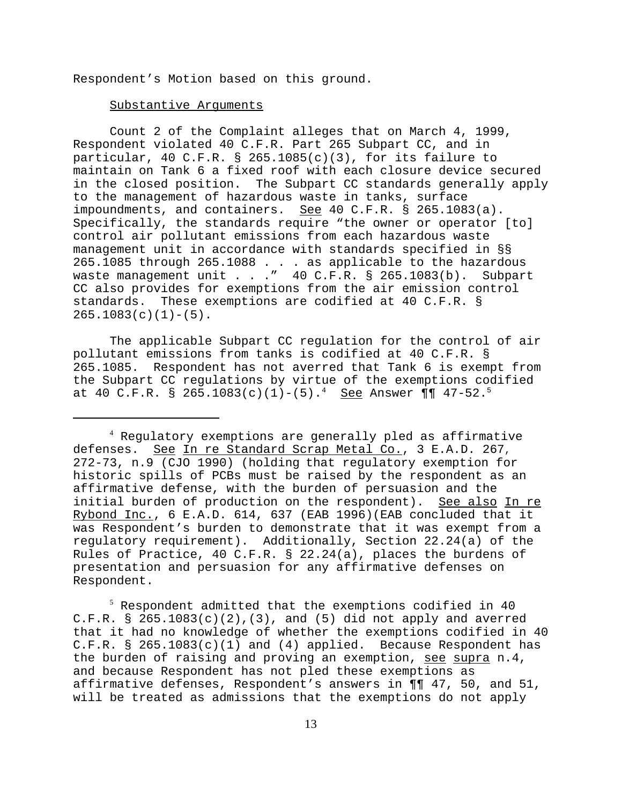Respondent's Motion based on this ground.

## Substantive Arguments

Count 2 of the Complaint alleges that on March 4, 1999, Respondent violated 40 C.F.R. Part 265 Subpart CC, and in particular, 40 C.F.R. § 265.1085(c)(3), for its failure to maintain on Tank 6 a fixed roof with each closure device secured in the closed position. The Subpart CC standards generally apply to the management of hazardous waste in tanks, surface impoundments, and containers. See 40 C.F.R. § 265.1083(a). Specifically, the standards require "the owner or operator [to] control air pollutant emissions from each hazardous waste management unit in accordance with standards specified in §§ 265.1085 through 265.1088 . . . as applicable to the hazardous waste management unit . . ." 40 C.F.R. § 265.1083(b). Subpart CC also provides for exemptions from the air emission control standards. These exemptions are codified at 40 C.F.R. §  $265.1083(c)(1)-(5)$ .

The applicable Subpart CC regulation for the control of air pollutant emissions from tanks is codified at 40 C.F.R. § 265.1085. Respondent has not averred that Tank 6 is exempt from the Subpart CC regulations by virtue of the exemptions codified at 40 C.F.R. § 265.1083(c)(1)-(5).<sup>4</sup> See Answer  $\P\P$  47-52.<sup>5</sup>

4 Regulatory exemptions are generally pled as affirmative defenses. See In re Standard Scrap Metal Co., 3 E.A.D. 267, 272-73, n.9 (CJO 1990) (holding that regulatory exemption for historic spills of PCBs must be raised by the respondent as an affirmative defense, with the burden of persuasion and the initial burden of production on the respondent). See also In re Rybond Inc., 6 E.A.D. 614, 637 (EAB 1996)(EAB concluded that it was Respondent's burden to demonstrate that it was exempt from a regulatory requirement). Additionally, Section 22.24(a) of the Rules of Practice, 40 C.F.R. § 22.24(a), places the burdens of presentation and persuasion for any affirmative defenses on Respondent.

 $^5$  Respondent admitted that the exemptions codified in  $40$ C.F.R. §  $265.1083(c)(2)$ , (3), and (5) did not apply and averred that it had no knowledge of whether the exemptions codified in 40 C.F.R. § 265.1083(c)(1) and (4) applied. Because Respondent has the burden of raising and proving an exemption, see supra n.4, and because Respondent has not pled these exemptions as affirmative defenses, Respondent's answers in ¶¶ 47, 50, and 51, will be treated as admissions that the exemptions do not apply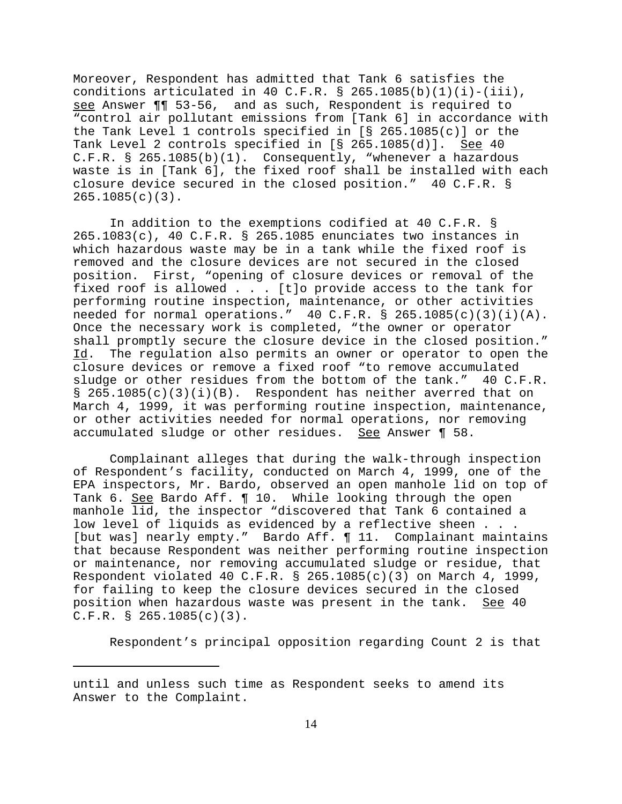Moreover, Respondent has admitted that Tank 6 satisfies the conditions articulated in 40 C.F.R. § 265.1085(b)(1)(i)-(iii), see Answer ¶¶ 53-56, and as such, Respondent is required to "control air pollutant emissions from [Tank 6] in accordance with the Tank Level 1 controls specified in [§ 265.1085(c)] or the Tank Level 2 controls specified in [§ 265.1085(d)]. See 40 C.F.R. § 265.1085(b)(1). Consequently, "whenever a hazardous waste is in [Tank 6], the fixed roof shall be installed with each closure device secured in the closed position." 40 C.F.R. § 265.1085(c)(3).

In addition to the exemptions codified at 40 C.F.R. § 265.1083(c), 40 C.F.R. § 265.1085 enunciates two instances in which hazardous waste may be in a tank while the fixed roof is removed and the closure devices are not secured in the closed position. First, "opening of closure devices or removal of the fixed roof is allowed . . . [t]o provide access to the tank for performing routine inspection, maintenance, or other activities needed for normal operations."  $40$  C.F.R. § 265.1085(c)(3)(i)(A). Once the necessary work is completed, "the owner or operator shall promptly secure the closure device in the closed position." Id. The regulation also permits an owner or operator to open the closure devices or remove a fixed roof "to remove accumulated sludge or other residues from the bottom of the tank." 40 C.F.R.  $\S$  265.1085(c)(3)(i)(B). Respondent has neither averred that on March 4, 1999, it was performing routine inspection, maintenance, or other activities needed for normal operations, nor removing accumulated sludge or other residues. See Answer ¶ 58.

Complainant alleges that during the walk-through inspection of Respondent's facility, conducted on March 4, 1999, one of the EPA inspectors, Mr. Bardo, observed an open manhole lid on top of Tank 6. See Bardo Aff. 10. While looking through the open manhole lid, the inspector "discovered that Tank 6 contained a low level of liquids as evidenced by a reflective sheen . . . [but was] nearly empty." Bardo Aff. ¶ 11. Complainant maintains that because Respondent was neither performing routine inspection or maintenance, nor removing accumulated sludge or residue, that Respondent violated 40 C.F.R.  $\S$  265.1085(c)(3) on March 4, 1999, for failing to keep the closure devices secured in the closed position when hazardous waste was present in the tank. See 40  $C.F.R. S 265.1085(c)(3)$ .

Respondent's principal opposition regarding Count 2 is that

until and unless such time as Respondent seeks to amend its Answer to the Complaint.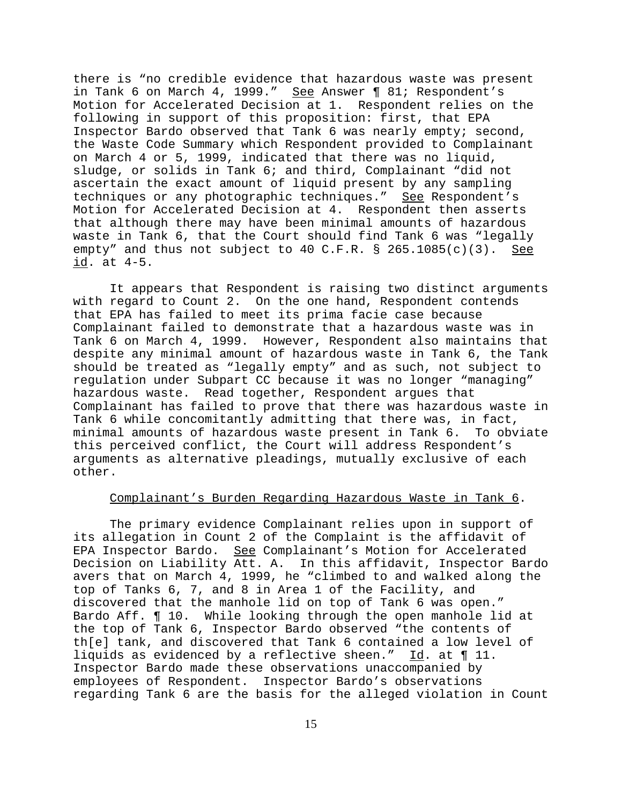there is "no credible evidence that hazardous waste was present in Tank 6 on March 4, 1999." See Answer | 81; Respondent's Motion for Accelerated Decision at 1. Respondent relies on the following in support of this proposition: first, that EPA Inspector Bardo observed that Tank 6 was nearly empty; second, the Waste Code Summary which Respondent provided to Complainant on March 4 or 5, 1999, indicated that there was no liquid, sludge, or solids in Tank 6; and third, Complainant "did not ascertain the exact amount of liquid present by any sampling techniques or any photographic techniques." See Respondent's Motion for Accelerated Decision at 4. Respondent then asserts that although there may have been minimal amounts of hazardous waste in Tank 6, that the Court should find Tank 6 was "legally empty" and thus not subject to 40 C.F.R. §  $265.1085(c)(3)$ . See id. at 4-5.

It appears that Respondent is raising two distinct arguments with regard to Count 2. On the one hand, Respondent contends that EPA has failed to meet its prima facie case because Complainant failed to demonstrate that a hazardous waste was in Tank 6 on March 4, 1999. However, Respondent also maintains that despite any minimal amount of hazardous waste in Tank 6, the Tank should be treated as "legally empty" and as such, not subject to regulation under Subpart CC because it was no longer "managing" hazardous waste. Read together, Respondent argues that Complainant has failed to prove that there was hazardous waste in Tank 6 while concomitantly admitting that there was, in fact, minimal amounts of hazardous waste present in Tank 6. To obviate this perceived conflict, the Court will address Respondent's arguments as alternative pleadings, mutually exclusive of each other.

# Complainant's Burden Regarding Hazardous Waste in Tank 6.

The primary evidence Complainant relies upon in support of its allegation in Count 2 of the Complaint is the affidavit of EPA Inspector Bardo. See Complainant's Motion for Accelerated Decision on Liability Att. A. In this affidavit, Inspector Bardo avers that on March 4, 1999, he "climbed to and walked along the top of Tanks 6, 7, and 8 in Area 1 of the Facility, and discovered that the manhole lid on top of Tank 6 was open." Bardo Aff. ¶ 10. While looking through the open manhole lid at the top of Tank 6, Inspector Bardo observed "the contents of th[e] tank, and discovered that Tank 6 contained a low level of liquids as evidenced by a reflective sheen." Id. at ¶ 11. Inspector Bardo made these observations unaccompanied by employees of Respondent. Inspector Bardo's observations regarding Tank 6 are the basis for the alleged violation in Count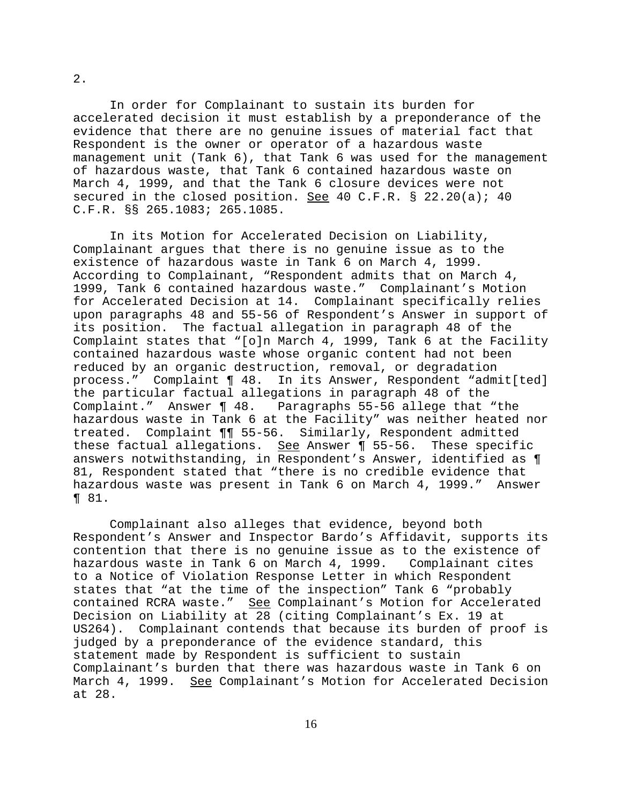In order for Complainant to sustain its burden for accelerated decision it must establish by a preponderance of the evidence that there are no genuine issues of material fact that Respondent is the owner or operator of a hazardous waste management unit (Tank 6), that Tank 6 was used for the management of hazardous waste, that Tank 6 contained hazardous waste on March 4, 1999, and that the Tank 6 closure devices were not secured in the closed position. See 40 C.F.R. § 22.20(a); 40 C.F.R. §§ 265.1083; 265.1085.

In its Motion for Accelerated Decision on Liability, Complainant argues that there is no genuine issue as to the existence of hazardous waste in Tank 6 on March 4, 1999. According to Complainant, "Respondent admits that on March 4, 1999, Tank 6 contained hazardous waste." Complainant's Motion for Accelerated Decision at 14. Complainant specifically relies upon paragraphs 48 and 55-56 of Respondent's Answer in support of its position. The factual allegation in paragraph 48 of the Complaint states that "[o]n March 4, 1999, Tank 6 at the Facility contained hazardous waste whose organic content had not been reduced by an organic destruction, removal, or degradation process." Complaint ¶ 48. In its Answer, Respondent "admit[ted] the particular factual allegations in paragraph 48 of the Complaint." Answer ¶ 48. Paragraphs 55-56 allege that "the hazardous waste in Tank 6 at the Facility" was neither heated nor treated. Complaint ¶¶ 55-56. Similarly, Respondent admitted these factual allegations. See Answer ¶ 55-56. These specific answers notwithstanding, in Respondent's Answer, identified as ¶ 81, Respondent stated that "there is no credible evidence that hazardous waste was present in Tank 6 on March 4, 1999." Answer ¶ 81.

Complainant also alleges that evidence, beyond both Respondent's Answer and Inspector Bardo's Affidavit, supports its contention that there is no genuine issue as to the existence of hazardous waste in Tank 6 on March 4, 1999. Complainant cites to a Notice of Violation Response Letter in which Respondent states that "at the time of the inspection" Tank 6 "probably contained RCRA waste." See Complainant's Motion for Accelerated Decision on Liability at 28 (citing Complainant's Ex. 19 at US264). Complainant contends that because its burden of proof is judged by a preponderance of the evidence standard, this statement made by Respondent is sufficient to sustain Complainant's burden that there was hazardous waste in Tank 6 on March 4, 1999. See Complainant's Motion for Accelerated Decision at 28.

2.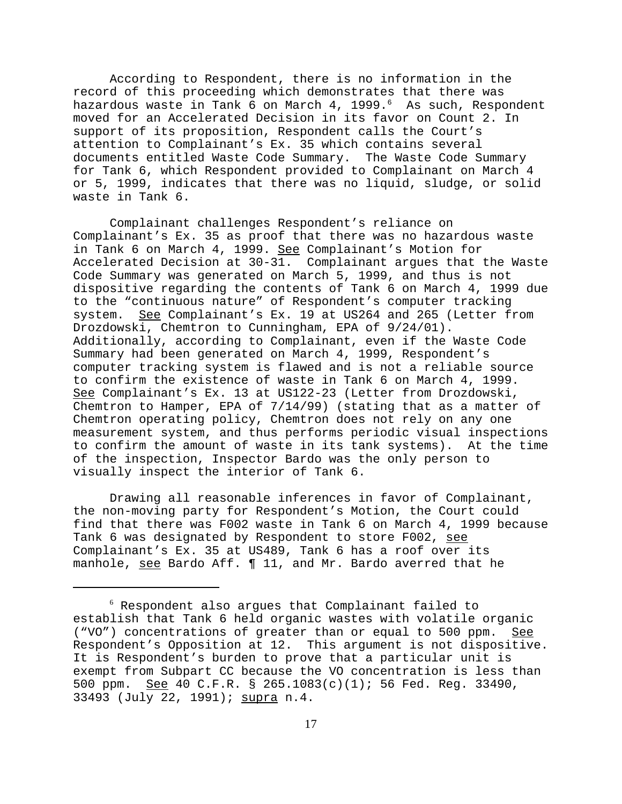According to Respondent, there is no information in the record of this proceeding which demonstrates that there was hazardous waste in Tank 6 on March 4, 1999.<sup>6</sup> As such, Respondent moved for an Accelerated Decision in its favor on Count 2. In support of its proposition, Respondent calls the Court's attention to Complainant's Ex. 35 which contains several documents entitled Waste Code Summary. The Waste Code Summary for Tank 6, which Respondent provided to Complainant on March 4 or 5, 1999, indicates that there was no liquid, sludge, or solid waste in Tank 6.

Complainant challenges Respondent's reliance on Complainant's Ex. 35 as proof that there was no hazardous waste in Tank 6 on March 4, 1999. See Complainant's Motion for Accelerated Decision at 30-31. Complainant argues that the Waste Code Summary was generated on March 5, 1999, and thus is not dispositive regarding the contents of Tank 6 on March 4, 1999 due to the "continuous nature" of Respondent's computer tracking system. See Complainant's Ex. 19 at US264 and 265 (Letter from Drozdowski, Chemtron to Cunningham, EPA of 9/24/01). Additionally, according to Complainant, even if the Waste Code Summary had been generated on March 4, 1999, Respondent's computer tracking system is flawed and is not a reliable source to confirm the existence of waste in Tank 6 on March 4, 1999. See Complainant's Ex. 13 at US122-23 (Letter from Drozdowski, Chemtron to Hamper, EPA of 7/14/99) (stating that as a matter of Chemtron operating policy, Chemtron does not rely on any one measurement system, and thus performs periodic visual inspections to confirm the amount of waste in its tank systems). At the time of the inspection, Inspector Bardo was the only person to visually inspect the interior of Tank 6.

Drawing all reasonable inferences in favor of Complainant, the non-moving party for Respondent's Motion, the Court could find that there was F002 waste in Tank 6 on March 4, 1999 because Tank 6 was designated by Respondent to store F002, see Complainant's Ex. 35 at US489, Tank 6 has a roof over its manhole, see Bardo Aff. 11, and Mr. Bardo averred that he

<sup>6</sup> Respondent also argues that Complainant failed to establish that Tank 6 held organic wastes with volatile organic ("VO") concentrations of greater than or equal to 500 ppm. See Respondent's Opposition at 12. This argument is not dispositive. It is Respondent's burden to prove that a particular unit is exempt from Subpart CC because the VO concentration is less than 500 ppm. See 40 C.F.R. § 265.1083(c)(1); 56 Fed. Reg. 33490, 33493 (July 22, 1991); supra n.4.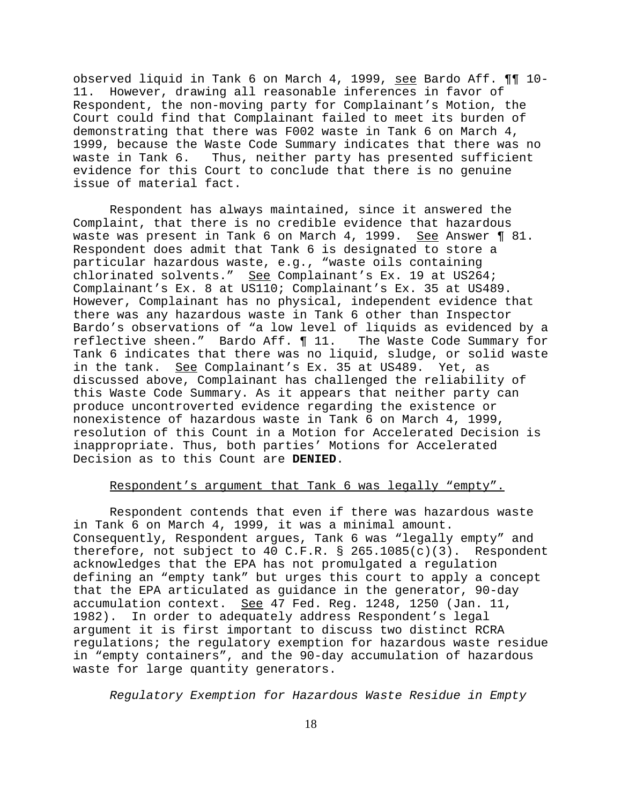observed liquid in Tank 6 on March 4, 1999, see Bardo Aff. ¶¶ 10- 11. However, drawing all reasonable inferences in favor of Respondent, the non-moving party for Complainant's Motion, the Court could find that Complainant failed to meet its burden of demonstrating that there was F002 waste in Tank 6 on March 4, 1999, because the Waste Code Summary indicates that there was no waste in Tank 6. Thus, neither party has presented sufficient evidence for this Court to conclude that there is no genuine issue of material fact.

Respondent has always maintained, since it answered the Complaint, that there is no credible evidence that hazardous waste was present in Tank 6 on March 4, 1999. See Answer 1 81. Respondent does admit that Tank 6 is designated to store a particular hazardous waste, e.g., "waste oils containing chlorinated solvents." See Complainant's Ex. 19 at US264; Complainant's Ex. 8 at US110; Complainant's Ex. 35 at US489. However, Complainant has no physical, independent evidence that there was any hazardous waste in Tank 6 other than Inspector Bardo's observations of "a low level of liquids as evidenced by a reflective sheen." Bardo Aff. ¶ 11. The Waste Code Summary for Tank 6 indicates that there was no liquid, sludge, or solid waste in the tank. See Complainant's Ex. 35 at US489. Yet, as discussed above, Complainant has challenged the reliability of this Waste Code Summary. As it appears that neither party can produce uncontroverted evidence regarding the existence or nonexistence of hazardous waste in Tank 6 on March 4, 1999, resolution of this Count in a Motion for Accelerated Decision is inappropriate. Thus, both parties' Motions for Accelerated Decision as to this Count are **DENIED**.

# Respondent's argument that Tank 6 was legally "empty".

Respondent contends that even if there was hazardous waste in Tank 6 on March 4, 1999, it was a minimal amount. Consequently, Respondent argues, Tank 6 was "legally empty" and therefore, not subject to 40 C.F.R. § 265.1085(c)(3). Respondent acknowledges that the EPA has not promulgated a regulation defining an "empty tank" but urges this court to apply a concept that the EPA articulated as guidance in the generator, 90-day accumulation context. See 47 Fed. Reg. 1248, 1250 (Jan. 11, 1982). In order to adequately address Respondent's legal argument it is first important to discuss two distinct RCRA regulations; the regulatory exemption for hazardous waste residue in "empty containers", and the 90-day accumulation of hazardous waste for large quantity generators.

*Regulatory Exemption for Hazardous Waste Residue in Empty*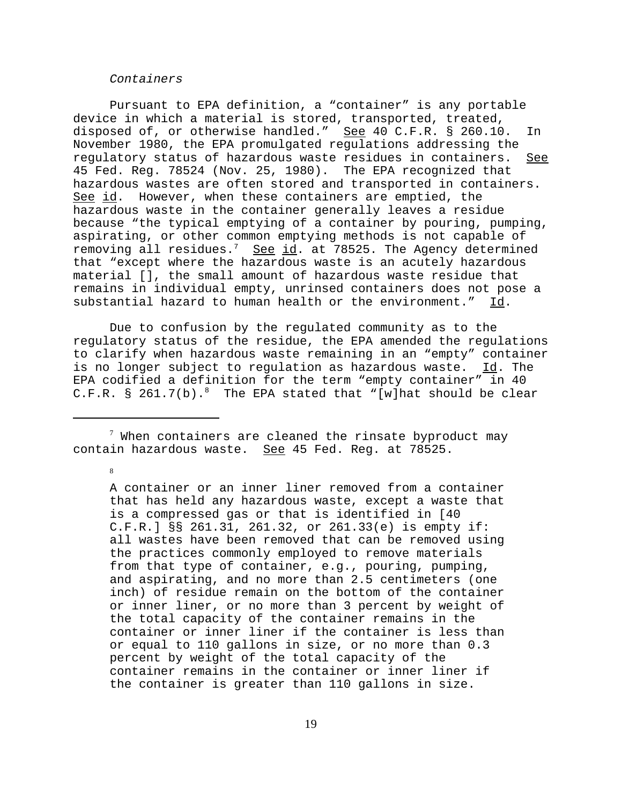## *Containers*

Pursuant to EPA definition, a "container" is any portable device in which a material is stored, transported, treated, disposed of, or otherwise handled." See 40 C.F.R. § 260.10. In November 1980, the EPA promulgated regulations addressing the regulatory status of hazardous waste residues in containers. See 45 Fed. Reg. 78524 (Nov. 25, 1980). The EPA recognized that hazardous wastes are often stored and transported in containers. See id. However, when these containers are emptied, the hazardous waste in the container generally leaves a residue because "the typical emptying of a container by pouring, pumping, aspirating, or other common emptying methods is not capable of removing all residues.<sup>7</sup> See id. at 78525. The Agency determined that "except where the hazardous waste is an acutely hazardous material [], the small amount of hazardous waste residue that remains in individual empty, unrinsed containers does not pose a substantial hazard to human health or the environment." Id.

Due to confusion by the regulated community as to the regulatory status of the residue, the EPA amended the regulations to clarify when hazardous waste remaining in an "empty" container is no longer subject to regulation as hazardous waste. Id. The EPA codified a definition for the term "empty container" in 40 C.F.R. § 261.7(b).<sup>8</sup> The EPA stated that "[w]hat should be clear

 $^7$  When containers are cleaned the rinsate byproduct may contain hazardous waste. See 45 Fed. Reg. at 78525.

8

A container or an inner liner removed from a container that has held any hazardous waste, except a waste that is a compressed gas or that is identified in [40 C.F.R.] §§ 261.31, 261.32, or 261.33(e) is empty if: all wastes have been removed that can be removed using the practices commonly employed to remove materials from that type of container, e.g., pouring, pumping, and aspirating, and no more than 2.5 centimeters (one inch) of residue remain on the bottom of the container or inner liner, or no more than 3 percent by weight of the total capacity of the container remains in the container or inner liner if the container is less than or equal to 110 gallons in size, or no more than 0.3 percent by weight of the total capacity of the container remains in the container or inner liner if the container is greater than 110 gallons in size.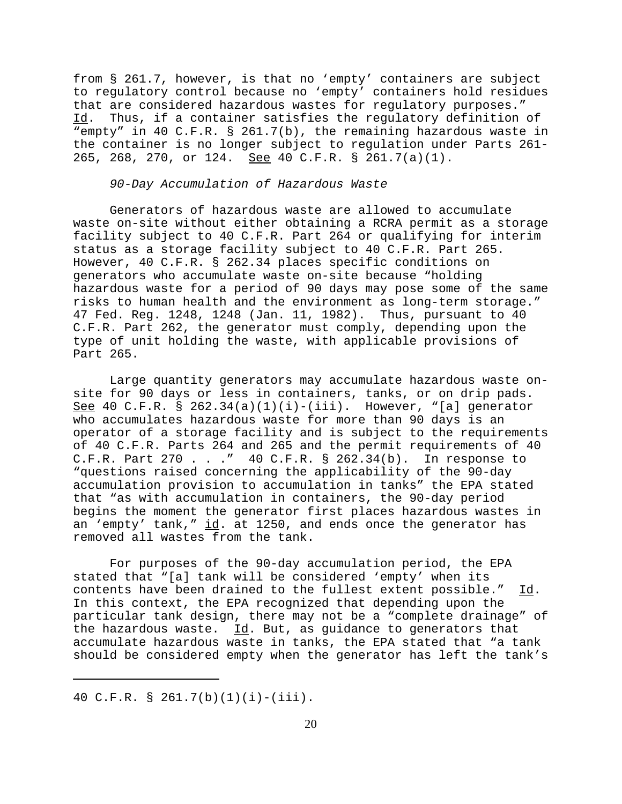from § 261.7, however, is that no 'empty' containers are subject to regulatory control because no 'empty' containers hold residues that are considered hazardous wastes for regulatory purposes." Id. Thus, if a container satisfies the regulatory definition of "empty" in 40 C.F.R. § 261.7(b), the remaining hazardous waste in the container is no longer subject to regulation under Parts 261- 265, 268, 270, or 124. See 40 C.F.R. § 261.7(a)(1).

#### *90-Day Accumulation of Hazardous Waste*

Generators of hazardous waste are allowed to accumulate waste on-site without either obtaining a RCRA permit as a storage facility subject to 40 C.F.R. Part 264 or qualifying for interim status as a storage facility subject to 40 C.F.R. Part 265. However, 40 C.F.R. § 262.34 places specific conditions on generators who accumulate waste on-site because "holding hazardous waste for a period of 90 days may pose some of the same risks to human health and the environment as long-term storage." 47 Fed. Reg. 1248, 1248 (Jan. 11, 1982). Thus, pursuant to 40 C.F.R. Part 262, the generator must comply, depending upon the type of unit holding the waste, with applicable provisions of Part 265.

Large quantity generators may accumulate hazardous waste onsite for 90 days or less in containers, tanks, or on drip pads. See 40 C.F.R. § 262.34(a)(1)(i)-(iii). However, "[a] generator who accumulates hazardous waste for more than 90 days is an operator of a storage facility and is subject to the requirements of 40 C.F.R. Parts 264 and 265 and the permit requirements of 40 C.F.R. Part 270 . . ." 40 C.F.R. § 262.34(b). In response to "questions raised concerning the applicability of the 90-day accumulation provision to accumulation in tanks" the EPA stated that "as with accumulation in containers, the 90-day period begins the moment the generator first places hazardous wastes in an 'empty' tank," id. at 1250, and ends once the generator has removed all wastes from the tank.

For purposes of the 90-day accumulation period, the EPA stated that "[a] tank will be considered 'empty' when its contents have been drained to the fullest extent possible." Id. In this context, the EPA recognized that depending upon the particular tank design, there may not be a "complete drainage" of the hazardous waste. Id. But, as guidance to generators that accumulate hazardous waste in tanks, the EPA stated that "a tank should be considered empty when the generator has left the tank's

<sup>40</sup> C.F.R. § 261.7(b)(1)(i)-(iii).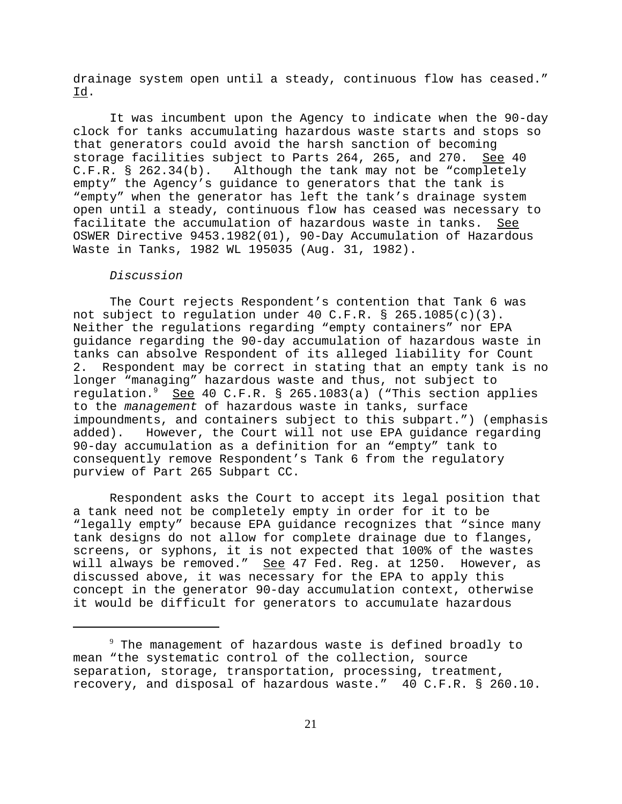drainage system open until a steady, continuous flow has ceased." Id.

It was incumbent upon the Agency to indicate when the 90-day clock for tanks accumulating hazardous waste starts and stops so that generators could avoid the harsh sanction of becoming storage facilities subject to Parts 264, 265, and 270. <u>See</u> 40<br>C.F.R. § 262.34(b). Although the tank may not be "completely Although the tank may not be "completely empty" the Agency's guidance to generators that the tank is "empty" when the generator has left the tank's drainage system open until a steady, continuous flow has ceased was necessary to facilitate the accumulation of hazardous waste in tanks. See OSWER Directive 9453.1982(01), 90-Day Accumulation of Hazardous Waste in Tanks, 1982 WL 195035 (Aug. 31, 1982).

## *Discussion*

The Court rejects Respondent's contention that Tank 6 was not subject to regulation under 40 C.F.R. § 265.1085(c)(3). Neither the regulations regarding "empty containers" nor EPA guidance regarding the 90-day accumulation of hazardous waste in tanks can absolve Respondent of its alleged liability for Count 2. Respondent may be correct in stating that an empty tank is no longer "managing" hazardous waste and thus, not subject to regulation.9 See 40 C.F.R. § 265.1083(a) ("This section applies to the *management* of hazardous waste in tanks, surface impoundments, and containers subject to this subpart.") (emphasis added). However, the Court will not use EPA guidance regarding 90-day accumulation as a definition for an "empty" tank to consequently remove Respondent's Tank 6 from the regulatory purview of Part 265 Subpart CC.

Respondent asks the Court to accept its legal position that a tank need not be completely empty in order for it to be "legally empty" because EPA guidance recognizes that "since many tank designs do not allow for complete drainage due to flanges, screens, or syphons, it is not expected that 100% of the wastes will always be removed." See 47 Fed. Reg. at 1250. However, as discussed above, it was necessary for the EPA to apply this concept in the generator 90-day accumulation context, otherwise it would be difficult for generators to accumulate hazardous

 $^9$  The management of hazardous waste is defined broadly to mean "the systematic control of the collection, source separation, storage, transportation, processing, treatment, recovery, and disposal of hazardous waste." 40 C.F.R. § 260.10.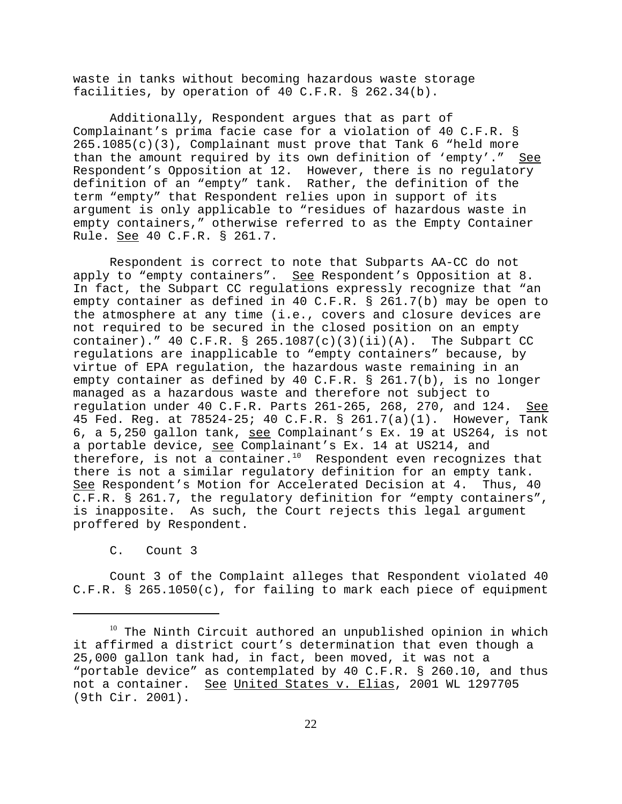waste in tanks without becoming hazardous waste storage facilities, by operation of 40 C.F.R. § 262.34(b).

Additionally, Respondent argues that as part of Complainant's prima facie case for a violation of 40 C.F.R. § 265.1085(c)(3), Complainant must prove that Tank 6 "held more than the amount required by its own definition of 'empty'." See Respondent's Opposition at 12. However, there is no regulatory definition of an "empty" tank. Rather, the definition of the term "empty" that Respondent relies upon in support of its argument is only applicable to "residues of hazardous waste in empty containers," otherwise referred to as the Empty Container Rule. See 40 C.F.R. § 261.7.

Respondent is correct to note that Subparts AA-CC do not apply to "empty containers". See Respondent's Opposition at 8. In fact, the Subpart CC regulations expressly recognize that "an empty container as defined in 40 C.F.R. § 261.7(b) may be open to the atmosphere at any time (i.e., covers and closure devices are not required to be secured in the closed position on an empty container)." 40 C.F.R. § 265.1087(c)(3)(ii)(A). The Subpart CC regulations are inapplicable to "empty containers" because, by virtue of EPA regulation, the hazardous waste remaining in an empty container as defined by 40 C.F.R. § 261.7(b), is no longer managed as a hazardous waste and therefore not subject to regulation under 40 C.F.R. Parts 261-265, 268, 270, and 124. See 45 Fed. Reg. at 78524-25; 40 C.F.R. § 261.7(a)(1). However, Tank 6, a 5,250 gallon tank, see Complainant's Ex. 19 at US264, is not a portable device, see Complainant's Ex. 14 at US214, and therefore, is not a container.<sup>10</sup> Respondent even recognizes that there is not a similar regulatory definition for an empty tank. See Respondent's Motion for Accelerated Decision at 4. Thus, 40 C.F.R. § 261.7, the regulatory definition for "empty containers", is inapposite. As such, the Court rejects this legal argument proffered by Respondent.

C. Count 3

Count 3 of the Complaint alleges that Respondent violated 40 C.F.R. § 265.1050(c), for failing to mark each piece of equipment

<sup>&</sup>lt;sup>10</sup> The Ninth Circuit authored an unpublished opinion in which it affirmed a district court's determination that even though a 25,000 gallon tank had, in fact, been moved, it was not a "portable device" as contemplated by 40 C.F.R. § 260.10, and thus not a container. See United States v. Elias, 2001 WL 1297705 (9th Cir. 2001).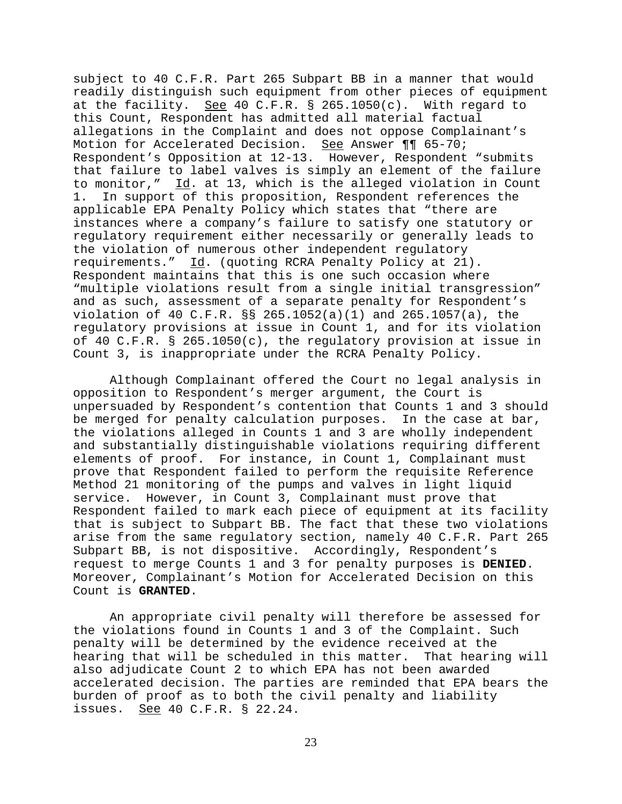subject to 40 C.F.R. Part 265 Subpart BB in a manner that would readily distinguish such equipment from other pieces of equipment at the facility. See 40 C.F.R.  $\S$  265.1050(c). With regard to this Count, Respondent has admitted all material factual allegations in the Complaint and does not oppose Complainant's Motion for Accelerated Decision. See Answer ¶¶ 65-70; Respondent's Opposition at 12-13. However, Respondent "submits that failure to label valves is simply an element of the failure to monitor," Id. at 13, which is the alleged violation in Count 1. In support of this proposition, Respondent references the applicable EPA Penalty Policy which states that "there are instances where a company's failure to satisfy one statutory or regulatory requirement either necessarily or generally leads to the violation of numerous other independent regulatory requirements." Id. (quoting RCRA Penalty Policy at 21). Respondent maintains that this is one such occasion where "multiple violations result from a single initial transgression" and as such, assessment of a separate penalty for Respondent's violation of 40 C.F.R. §§ 265.1052(a)(1) and 265.1057(a), the regulatory provisions at issue in Count 1, and for its violation of 40 C.F.R. § 265.1050(c), the regulatory provision at issue in Count 3, is inappropriate under the RCRA Penalty Policy.

Although Complainant offered the Court no legal analysis in opposition to Respondent's merger argument, the Court is unpersuaded by Respondent's contention that Counts 1 and 3 should be merged for penalty calculation purposes. In the case at bar, the violations alleged in Counts 1 and 3 are wholly independent and substantially distinguishable violations requiring different elements of proof. For instance, in Count 1, Complainant must prove that Respondent failed to perform the requisite Reference Method 21 monitoring of the pumps and valves in light liquid service. However, in Count 3, Complainant must prove that Respondent failed to mark each piece of equipment at its facility that is subject to Subpart BB. The fact that these two violations arise from the same regulatory section, namely 40 C.F.R. Part 265 Subpart BB, is not dispositive. Accordingly, Respondent's request to merge Counts 1 and 3 for penalty purposes is **DENIED**. Moreover, Complainant's Motion for Accelerated Decision on this Count is **GRANTED**.

An appropriate civil penalty will therefore be assessed for the violations found in Counts 1 and 3 of the Complaint. Such penalty will be determined by the evidence received at the hearing that will be scheduled in this matter. That hearing will also adjudicate Count 2 to which EPA has not been awarded accelerated decision. The parties are reminded that EPA bears the burden of proof as to both the civil penalty and liability issues. See 40 C.F.R. § 22.24.